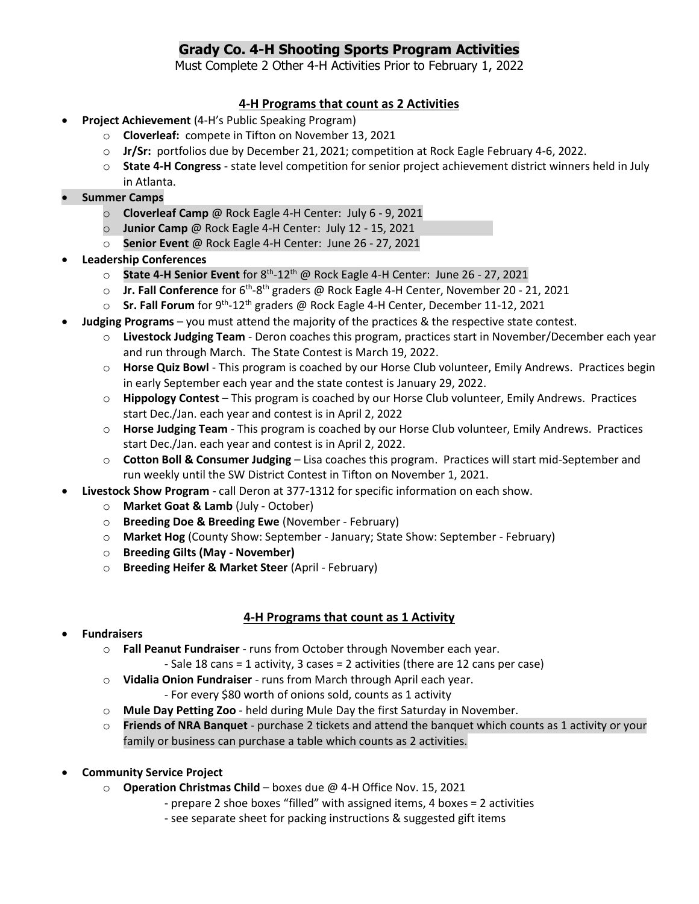## **Grady Co. 4-H Shooting Sports Program Activities**

Must Complete 2 Other 4-H Activities Prior to February 1, 2022

## **4-H Programs that count as 2 Activities**

- **Project Achievement** (4-H's Public Speaking Program)
	- o **Cloverleaf:** compete in Tifton on November 13, 2021
	- o **Jr/Sr:** portfolios due by December 21, 2021; competition at Rock Eagle February 4-6, 2022.
	- o **State 4-H Congress** state level competition for senior project achievement district winners held in July in Atlanta.
- **Summer Camps**
	- o **Cloverleaf Camp** @ Rock Eagle 4-H Center: July 6 9, 2021
	- o **Junior Camp** @ Rock Eagle 4-H Center: July 12 15, 2021
	- o **Senior Event** @ Rock Eagle 4-H Center: June 26 27, 2021
- **Leadership Conferences**
	- o **State 4-H Senior Event** for 8<sup>th</sup>-12<sup>th</sup> @ Rock Eagle 4-H Center: June 26 27, 2021
	- o **Jr. Fall Conference** for 6<sup>th</sup>-8<sup>th</sup> graders @ Rock Eagle 4-H Center, November 20 21, 2021
	- **Sr. Fall Forum** for 9<sup>th</sup>-12<sup>th</sup> graders @ Rock Eagle 4-H Center, December 11-12, 2021
- **Judging Programs** you must attend the majority of the practices & the respective state contest.
	- o **Livestock Judging Team** Deron coaches this program, practices start in November/December each year and run through March. The State Contest is March 19, 2022.
	- o **Horse Quiz Bowl** This program is coached by our Horse Club volunteer, Emily Andrews. Practices begin in early September each year and the state contest is January 29, 2022.
	- o **Hippology Contest** This program is coached by our Horse Club volunteer, Emily Andrews. Practices start Dec./Jan. each year and contest is in April 2, 2022
	- o **Horse Judging Team** This program is coached by our Horse Club volunteer, Emily Andrews. Practices start Dec./Jan. each year and contest is in April 2, 2022.
	- o **Cotton Boll & Consumer Judging** Lisa coaches this program. Practices will start mid-September and run weekly until the SW District Contest in Tifton on November 1, 2021.
- **Livestock Show Program** call Deron at 377-1312 for specific information on each show.
	- o **Market Goat & Lamb** (July October)
	- o **Breeding Doe & Breeding Ewe** (November February)
	- o **Market Hog** (County Show: September January; State Show: September February)
	- o **Breeding Gilts (May - November)**
	- o **Breeding Heifer & Market Steer** (April February)

## **4-H Programs that count as 1 Activity**

- **Fundraisers**
	- o **Fall Peanut Fundraiser** runs from October through November each year.
		- Sale 18 cans = 1 activity, 3 cases = 2 activities (there are 12 cans per case)
	- o **Vidalia Onion Fundraiser** runs from March through April each year.
		- For every \$80 worth of onions sold, counts as 1 activity
	- o **Mule Day Petting Zoo** held during Mule Day the first Saturday in November.
	- o **Friends of NRA Banquet** purchase 2 tickets and attend the banquet which counts as 1 activity or your family or business can purchase a table which counts as 2 activities.
- **Community Service Project**
	- o **Operation Christmas Child** boxes due @ 4-H Office Nov. 15, 2021
		- prepare 2 shoe boxes "filled" with assigned items, 4 boxes = 2 activities
		- see separate sheet for packing instructions & suggested gift items